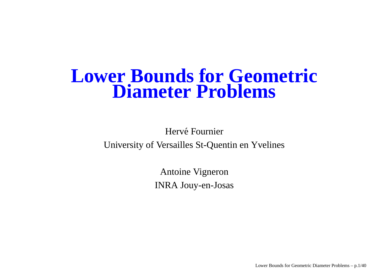### **Lower Bounds for Geometric Diameter Problems**

Hervé Fournier University of Versailles St-Quentin en Yvelines

> Antoine Vigneron INRA Jouy-en-Josas

> > Lower Bounds for Geometric Diameter Problems – p.1/40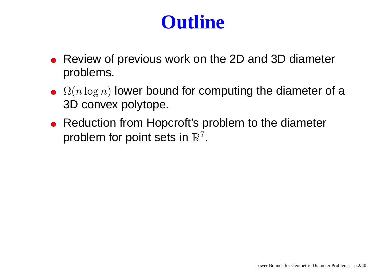## **Outline**

- Review of previous work on the 2D and 3D diameter problems.
- $\Omega(n \log n)$  lower bound for computing the diameter of a 3D convex polytope.
- Reduction from Hopcroft's problem to the diameter problem for point sets in  $\mathbb{R}^7$ .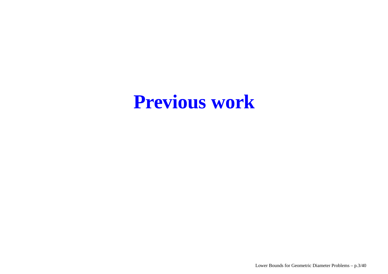## **Previous work**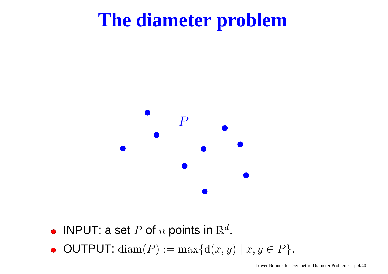## **The diameter problem**



- INPUT: a set  $P$  of  $n$  points in  $\mathbb{R}^d.$
- $\bullet$  OUTPUT: diam(P) := max{d(x, y) | x, y  $\in$  P}.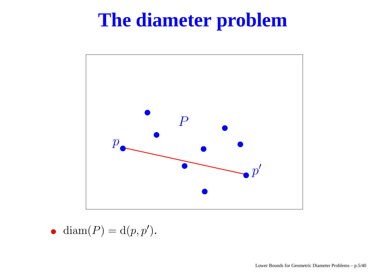## **The diameter problem**



$$
\bullet \ \operatorname{diam}(P) = \operatorname{d}(p, p').
$$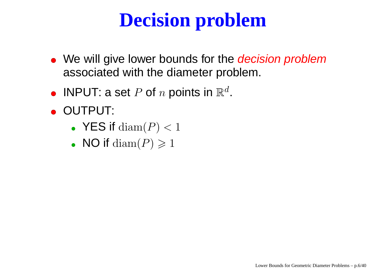## **Decision problem**

- We will give lower bounds for the *decision problem* associated with the diameter problem.
- INPUT: a set  $P$  of  $n$  points in  $\mathbb{R}^d.$
- OUTPUT:
	- ${\sf YES}$  if  ${\rm diam}(P) < 1$
	- NO if  $\mathrm{diam}(P)\geqslant 1$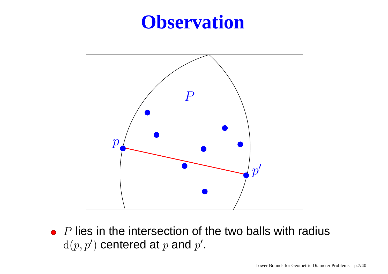### **Observation**



 $P$  lies in the intersection of the two balls with radius  $d(p, p')$  centered at p and p'.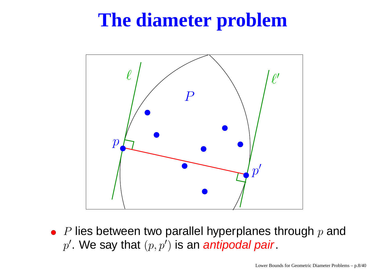## **The diameter problem**



 $\emph{P}$  lies between two parallel hyperplanes through  $\emph{p}$  and  $p'$ . We say that  $(p, p')$  is an antipodal pair.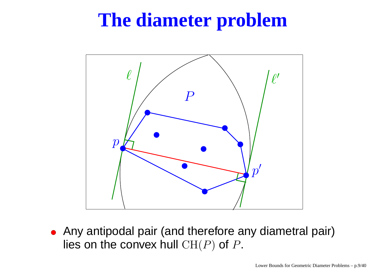## **The diameter problem**



Any antipodal pair (and therefore any diametral pair) lies on the convex hull  $\operatorname{CH}(P)$  of  $P.$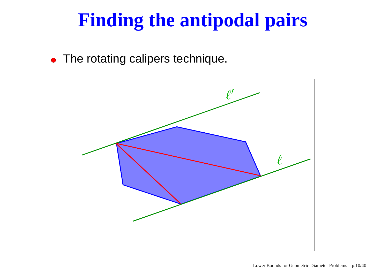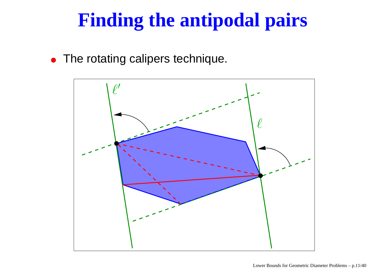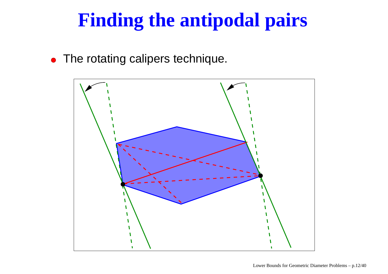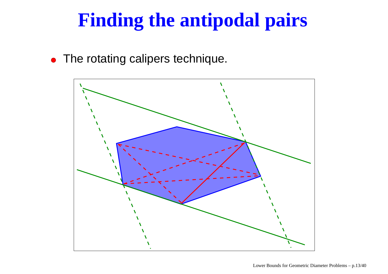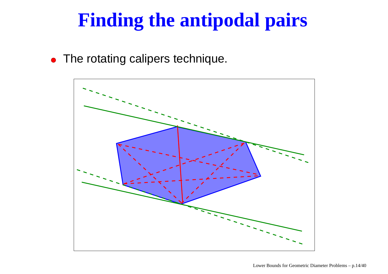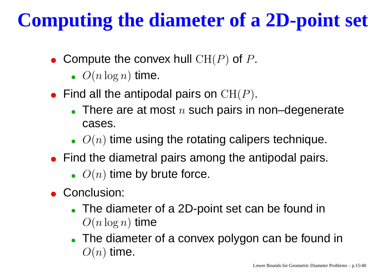# **Computing the diameter of <sup>a</sup> 2D-point set**

- Compute the convex hull  $CH(P)$  of P.
	- $\bullet$   $O(n \log n)$  time.
- Find all the antipodal pairs on  $\mathrm{CH}(P).$ 
	- There are at most  $n$  such pairs in non–degenerate cases.
	- $\bullet$   $O(n)$  time using the rotating calipers technique.
- Find the diametral pairs among the antipodal pairs.
	- $\bullet$   $O(n)$  time by brute force.
- Conclusion:
	- The diameter of <sup>a</sup> 2D-point set can be found in  $O(n \log n)$  time
	- The diameter of <sup>a</sup> convex polygon can be found in  $O(n)$  time.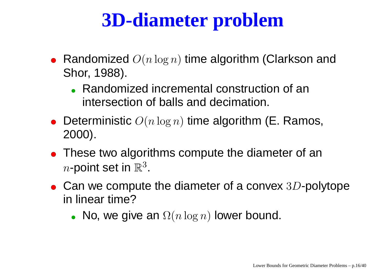## **3D-diameter problem**

- Randomized  $O(n\log n)$  time algorithm (Clarkson and Shor, 1988).
	- Randomized incremental construction of an intersection of balls and decimation.
- Deterministic  $O(n\log n)$  time algorithm (E. Ramos, 2000).
- These tw o algorithms compute the diameter of an  $n$ -point set in  $\R$ 3.
- Can we compute the diameter of a convex  $3D$ -polytope in linear time?
	- No, we give an  $\Omega(n\log n)$  lower bound.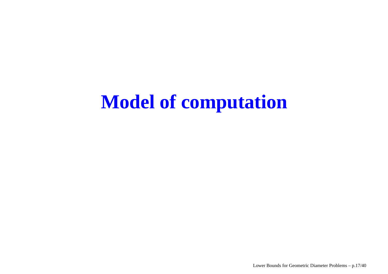## **Model of computation**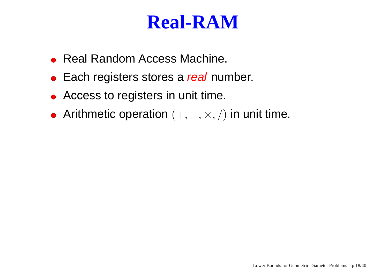### **Real-RAM**

- Real Random Access Machine.
- Each registers stores a *real* number.
- Access to registers in unit time.
- Arithmetic operation  $(+,-,\times,/)$  in unit time.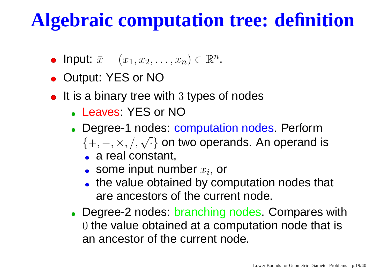## **Algebraic computation tree: definition**

- Input:  $\bar{x} = (x_1, x_2, \ldots, x_n) \in \mathbb{R}^n$ .
- Output: YES or NO
- It is a binary tree with  $3$  types of nodes
	- Leaves: YES or NO
	- Degree-1 nodes: computation nodes. Perform  $\{+, -, \times, /, \sqrt{ } \}$  on two operands. An operand is
		- a real constant,
		- some input number  $x_{\bm i}$ , or
		- the value obtained by computation nodes that are ancestors of the current node.
	- Degree-2 nodes: branching nodes. Compares with  $0$  the value obtained at a computation node that is an ancestor of the current node.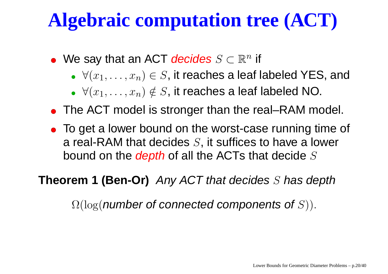# **Algebraic computation tree (ACT)**

- We say that an ACT *decides*  $S \subset \mathbb{R}^n$  *if* 
	- $\blacktriangleright \forall (x_1, \ldots, x_n) \in S$ , it reaches a leaf labeled YES, and
	- $\forall (x_1, \ldots, x_n) \notin S$ , it reaches a leaf labeled NO.
- The ACT model is stronger than the real–RAM model.
- To get <sup>a</sup> lower bound on the worst-case running time of a real-RAM that decides  $S$ , it suffices to have a lower bound on the *depth* of all the ACTs that decide  $S$

**Theorem 1 (Ben-Or)** Any ACT that decides S has depth

<span id="page-19-0"></span> $\Omega(\log(n$ umber of connected components of S)).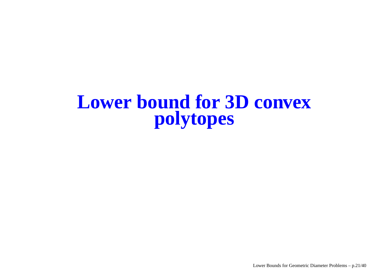### **Lower bound for 3D convex polytopes**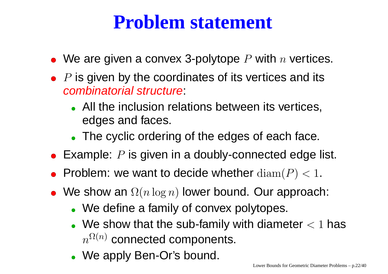### **Problem statement**

- We are given a convex 3-polytope  $P$  with  $n$  vertices.
- $P$  is given by the coordinates of its vertices and its combinatorial structure:
	- All the inclusion relations between its vertices, edges and faces.
	- The cyclic ordering of the edges of each face.
- Example:  $P$  is given in a doubly-connected edge list.
- Problem: we want to decide whether  $\mathrm{diam}(P) < 1.$
- We show an  $\Omega(n\log n)$  lower bound. Our approach:
	- We define <sup>a</sup> family of convex polytopes.
	- We show that the sub-family with diameter  $< 1$  has  $n^{\Omega(n)}$  connected components.
	- We apply Ben-Or's bound.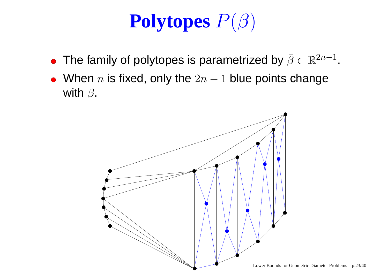#### **Polytopes** <sup>P</sup>(β )

- The family of polytopes is parametrized by  $\bar{\beta}$  $\bar{\beta}\in\mathbb{R}^{2n-1}$  .
- When  $n$  is fixed, only the  $2n-1$  blue points change with  $\bar{\beta}$  $\cup$  .

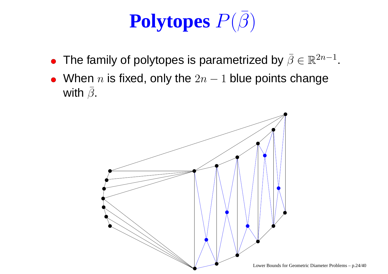#### **Polytopes** <sup>P</sup>(β )

- The family of polytopes is parametrized by  $\bar{\beta}$  $\bar{\beta}\in\mathbb{R}^{2n-1}$  .
- When  $n$  is fixed, only the  $2n-1$  blue points change with  $\bar{\beta}$  $\cup$  .

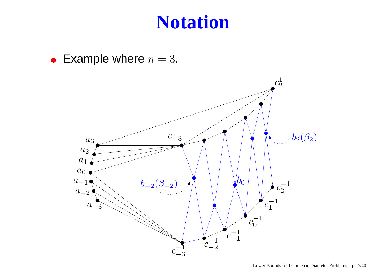### **Notation**

• Example where  $n = 3$ .

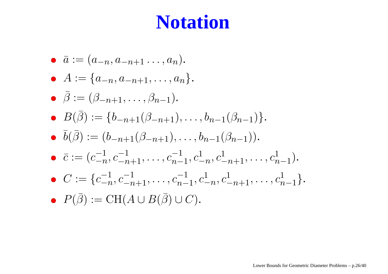## **Notation**

\n- \n
$$
\bar{a} := (a_{-n}, a_{-n+1}, \ldots, a_n).
$$
\n
\n- \n $A := \{a_{-n}, a_{-n+1}, \ldots, a_n\}.$ \n
\n- \n $\bar{\beta} := (\beta_{-n+1}, \ldots, \beta_{n-1}).$ \n
\n- \n $B(\bar{\beta}) := \{b_{-n+1}(\beta_{-n+1}), \ldots, b_{n-1}(\beta_{n-1})\}.$ \n
\n- \n $\bar{b}(\bar{\beta}) := (b_{-n+1}(\beta_{-n+1}), \ldots, b_{n-1}(\beta_{n-1})).$ \n
\n- \n $\bar{c} := (c_{-n}^{-1}, c_{-n+1}^{-1}, \ldots, c_{n-1}^{-1}, c_{-n}^{1}, c_{-n+1}^{1}, \ldots, c_{n-1}^{1}).$ \n
\n- \n $C := \{c_{-n}^{-1}, c_{-n+1}^{-1}, \ldots, c_{n-1}^{-1}, c_{-n}^{1}, c_{-n+1}^{1}, \ldots, c_{n-1}^{1}\}.$ \n
\n- \n $P(\bar{\beta}) := \text{CH}(A \cup B(\bar{\beta}) \cup C).$ \n
\n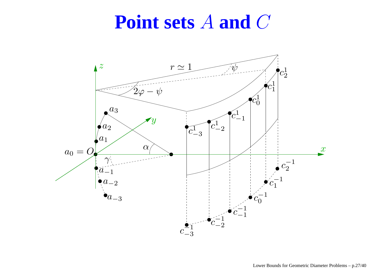### **Point sets** A **and** C

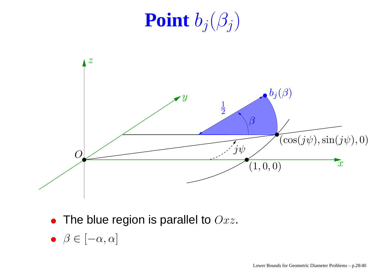# **Point**  $b_j(\beta_j)$



- The blue region is parallel to  $Oxz$ .
- $\theta \in [-\alpha, \alpha]$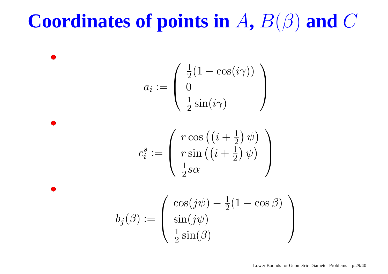#### **Coordinates of points in**  $A$ **,**  $B(\beta)$ ) **and** C

 $a_i :=$  $\begin{pmatrix} \frac{1}{2} (1 - \cos(i\gamma)) \\ 0 \\ \frac{1}{2} \sin(i\gamma) \end{pmatrix}$ 

$$
c_i^s := \left( \begin{array}{c} r \cos \left( \left( i + \frac{1}{2} \right) \psi \right) \\ r \sin \left( \left( i + \frac{1}{2} \right) \psi \right) \\ \frac{1}{2} s \alpha \end{array} \right)
$$

$$
b_j(\beta) := \begin{pmatrix} \cos(j\psi) - \frac{1}{2}(1 - \cos\beta) \\ \sin(j\psi) \\ \frac{1}{2}\sin(\beta) \end{pmatrix}
$$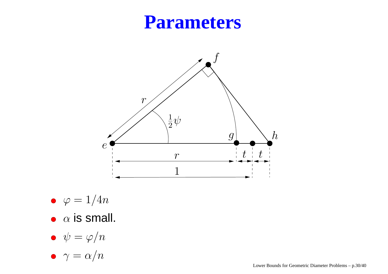### **Parameters**



- $\bullet \varphi = 1/4n$
- $\alpha$  is small.
- $\psi=\varphi/n$
- $\gamma = \alpha/n$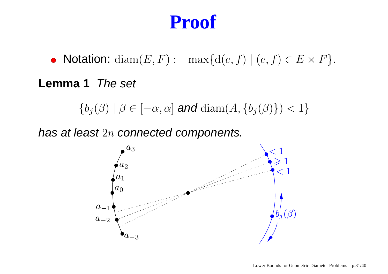• Notation:  $\text{diam}(E, F) := \max\{\text{d}(e, f) \mid (e, f) \in E \times F\}.$ 

**Lemma 1** The set

 ${b_j(\beta) | \beta \in [-\alpha, \alpha] \text{ and } \text{diam}(A, {b_j(\beta)}) < 1}$ 

has at least  $2n$  connected components.

<span id="page-30-0"></span>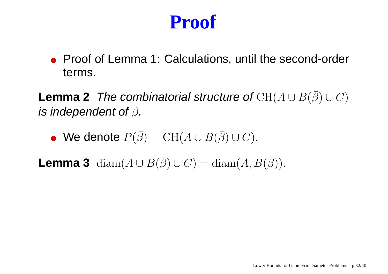Proof of Lemma 1: Calculations, until the second-order terms.

**Lemma 2** The combinatorial structure of  $\mathrm{CH}(A\cup B(\bar{\beta}))$  $)\cup C)$ is independent of  $\bar{\beta}$  $\cup$  .

We denote  $P(\bar{\beta}% )^{\ast}=P(\bar{\beta})^{\ast}$  $) = \operatorname{CH}(A \cup B(\bar{\beta}$  $) \cup C$ .

<span id="page-31-0"></span> $\textsf{Lemma 3} \ \ \operatorname{diam}(A \cup B(\bar{\beta})).$  $)\cup C)={\rm diam}(A,B(\bar\beta))$  $\big)\big).$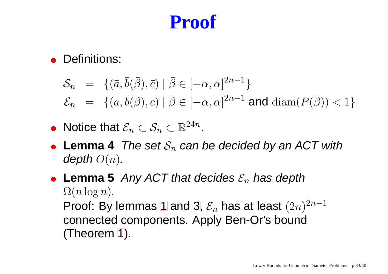#### **• Definitions:**

$$
\mathcal{S}_n = \{ (\bar{a}, \bar{b}(\bar{\beta}), \bar{c}) \mid \bar{\beta} \in [-\alpha, \alpha]^{2n-1} \}
$$
  

$$
\mathcal{E}_n = \{ (\bar{a}, \bar{b}(\bar{\beta}), \bar{c}) \mid \bar{\beta} \in [-\alpha, \alpha]^{2n-1} \text{ and } \text{diam}(P(\bar{\beta})) < 1 \}
$$

- Notice that  $\mathcal{E}_n \subset \mathcal{S}_n \subset \mathbb{R}^{24n}.$
- ${\sf Lemma~4}$  . The set  $\mathcal{S}_n$  can be decided by an ACT with depth  $O(n)$ .
- <span id="page-32-1"></span><span id="page-32-0"></span>**Lemma 5** Any ACT that decides  $\mathcal{E}_n$  has depth  $\Omega(n \log n)$ . Proof: By lemmas [1](#page-30-0) and [3](#page-31-0),  $\mathcal{E}_n$  has at least  $(2n)^{2n-1}$ connected components. Apply Ben-Or's bound (Theorem [1\)](#page-19-0).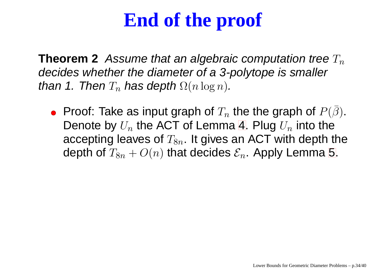## **End of the proof**

**Theorem 2** Assume that an algebraic computation tree  $T_n$ decides whether the diameter of <sup>a</sup> 3-polytope is smaller than 1. Then  $T_n$  has depth  $\Omega(n\log n)$ .

Proof: Take as input graph of  $T_n$  the the graph of  $P(\beta$ ). Denote by  $U_n$  the ACT of Lemma [4](#page-32-0). Plug  $U_n$  into the accepting leaves of  $T_{8n}$ . It gives an ACT with depth the depth of  $T_{8n} + O(n)$  that decides  $\mathcal{E}_n$ . Apply Lemma [5](#page-32-1).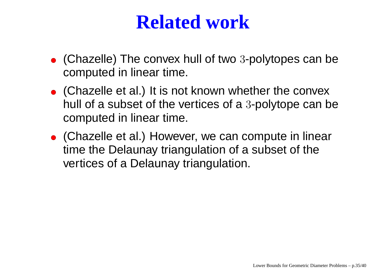## **Related work**

- (Chazelle) The convex hull of two <sup>3</sup>-polytopes can be computed in linear time.
- (Chazelle et al.) It is not known whether the convex hull of a subset of the vertices of <sup>a</sup> 3-polytope can be computed in linear time.
- (Chazelle et al.) However, we can compute in linear time the Delaunay triangulation of <sup>a</sup> subset of the vertices of a Delaunay triangulation.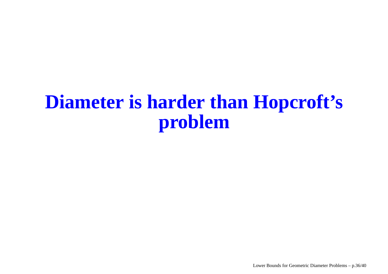### **Diameter is harder than Hopcroft's problem**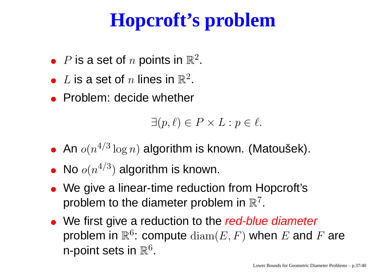# **Hopcroft's problem**

- $P$  is a set of  $n$  points in  $\mathbb{R}^2.$
- $L$  is a set of  $n$  lines in  $\mathbb{R}^2$ .
- Problem: decide whether

 $\exists (p, \ell) \in P \times L : p \in \ell.$ 

- An  $o(n^{4/3}\log n)$  algorithm is known. (Matoušek).
- No  $o(n^{4/3})$  algorithm is known.
- We give <sup>a</sup> linear-time reduction from Hopcroft's problem to the diameter problem in  $\mathbb{R}^7$ .
- We first give a reduction to the *red-blue diameter* problem in  $\mathbb{R}^6$ : compute  $\text{diam}(E, F)$  when E and F are n-point sets in  $\mathbb{R}^6$ .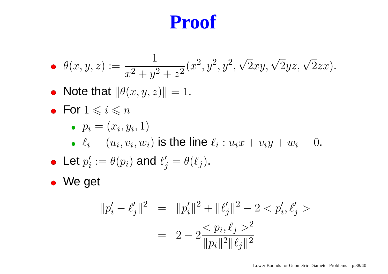• 
$$
\theta(x, y, z) := \frac{1}{x^2 + y^2 + z^2} (x^2, y^2, \sqrt{2}xy, \sqrt{2}yz, \sqrt{2}zx).
$$

- Note that  $\|\theta(x, y, z)\| = 1.$
- For  $1\leqslant i\leqslant n$

$$
\bullet \ \ p_i = (x_i, y_i, 1)
$$

 $\ell_i = (u_i, v_i, w_i)$  is the line  $\ell_i : u_ix + v_iy + w_i = 0.$ 

• Let 
$$
p'_i := \theta(p_i)
$$
 and  $\ell'_j = \theta(\ell_j)$ .

We get

$$
||p'_{i} - \ell'_{j}||^{2} = ||p'_{i}||^{2} + ||\ell'_{j}||^{2} - 2 < p'_{i}, \ell'_{j} >
$$
  
= 
$$
2 - 2 \frac{p_{i}, \ell_{j} > 2}{||p_{i}||^{2}||\ell_{j}||^{2}}
$$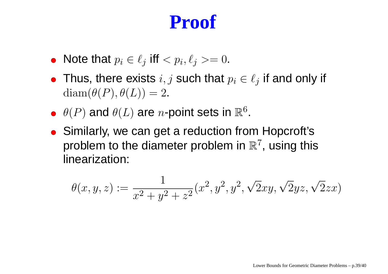- Note that  $p_i \in \ell_j$  iff  $< p_i, \ell_j > = 0.$
- Thus, there exists  $i, j$  such that  $p_i \in \ell_j$  if and only if  $diam(\theta(P), \theta(L)) = 2.$
- $\theta(P)$  and  $\theta(L)$  are *n*-point sets in  $\mathbb{R}^6$ .
- Similarly, we can get a reduction from Hopcroft's problem to the diameter problem in  $\mathbb{R}^7$ , using this linearization:

$$
\theta(x, y, z) := \frac{1}{x^2 + y^2 + z^2} (x^2, y^2, y^2, \sqrt{2}xy, \sqrt{2}yz, \sqrt{2}zx)
$$